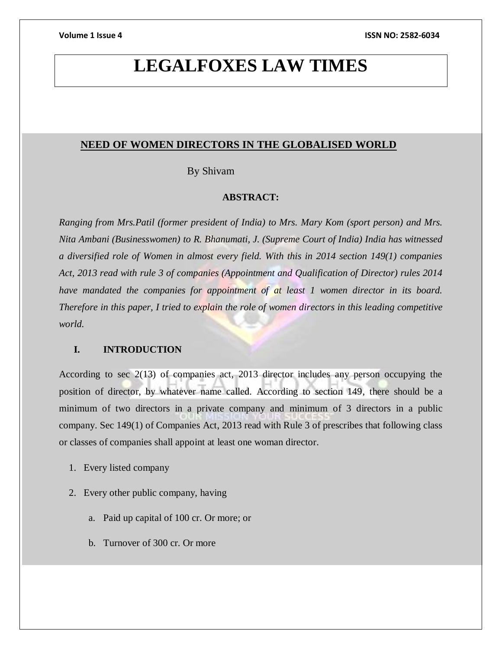# **LEGALFOXES LAW TIMES**

# **NEED OF WOMEN DIRECTORS IN THE GLOBALISED WORLD**

By Shivam

### **ABSTRACT:**

*Ranging from Mrs.Patil (former president of India) to Mrs. Mary Kom (sport person) and Mrs. Nita Ambani (Businesswomen) to R. Bhanumati, J. (Supreme Court of India) India has witnessed a diversified role of Women in almost every field. With this in 2014 section 149(1) companies Act, 2013 read with rule 3 of companies (Appointment and Qualification of Director) rules 2014 have mandated the companies for appointment of at least 1 women director in its board. Therefore in this paper, I tried to explain the role of women directors in this leading competitive world.*

## **I. INTRODUCTION**

According to sec 2(13) of companies act, 2013 director includes any person occupying the position of director, by whatever name called. According to section 149, there should be a minimum of two directors in a private company and minimum of 3 directors in a public company. Sec 149(1) of Companies Act, 2013 read with Rule 3 of prescribes that following class or classes of companies shall appoint at least one woman director.

- 1. Every listed company
- 2. Every other public company, having
	- a. Paid up capital of 100 cr. Or more; or
	- b. Turnover of 300 cr. Or more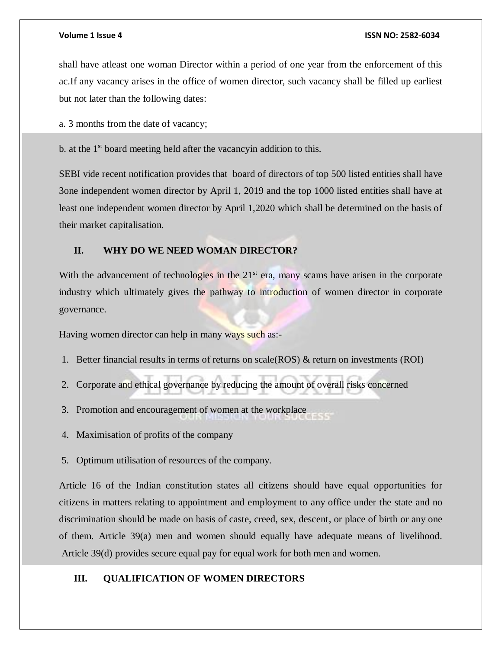#### **Volume 1 Issue 4 ISSN NO: 2582-6034**

shall have atleast one woman Director within a period of one year from the enforcement of this ac.If any vacancy arises in the office of women director, such vacancy shall be filled up earliest but not later than the following dates:

a. 3 months from the date of vacancy;

b. at the 1<sup>st</sup> board meeting held after the vacancyin addition to this.

SEBI vide recent notification provides that board of directors of top 500 listed entities shall have 3one independent women director by April 1, 2019 and the top 1000 listed entities shall have at least one independent women director by April 1,2020 which shall be determined on the basis of their market capitalisation.

# **II. WHY DO WE NEED WOMAN DIRECTOR?**

With the advancement of technologies in the  $21<sup>st</sup>$  era, many scams have arisen in the corporate industry which ultimately gives the pathway to introduction of women director in corporate governance.

Having women director can help in many ways such as:-

- 1. Better financial results in terms of returns on scale(ROS) & return on investments (ROI)
- 2. Corporate and ethical governance by reducing the amount of overall risks concerned
- 3. Promotion and encouragement of women at the workplace
- 4. Maximisation of profits of the company

5. Optimum utilisation of resources of the company.

Article 16 of the Indian constitution states all citizens should have equal opportunities for citizens in matters relating to appointment and employment to any office under the state and no discrimination should be made on basis of caste, creed, sex, descent, or place of birth or any one of them. Article 39(a) men and women should equally have adequate means of livelihood. Article 39(d) provides secure equal pay for equal work for both men and women.

## **III. QUALIFICATION OF WOMEN DIRECTORS**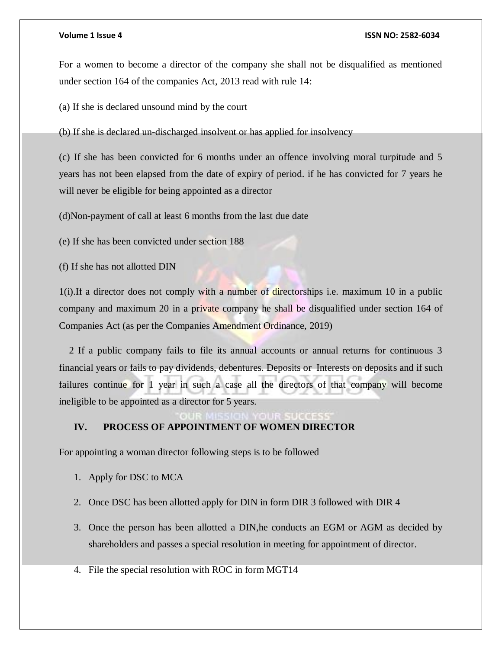#### **Volume 1 Issue 4 ISSN NO: 2582-6034**

For a women to become a director of the company she shall not be disqualified as mentioned under section 164 of the companies Act, 2013 read with rule 14:

(a) If she is declared unsound mind by the court

(b) If she is declared un-discharged insolvent or has applied for insolvency

(c) If she has been convicted for 6 months under an offence involving moral turpitude and 5 years has not been elapsed from the date of expiry of period. if he has convicted for 7 years he will never be eligible for being appointed as a director

(d)Non-payment of call at least 6 months from the last due date

(e) If she has been convicted under section 188

(f) If she has not allotted DIN

1(i).If a director does not comply with a number of directorships i.e. maximum 10 in a public company and maximum 20 in a private company he shall be disqualified under section 164 of Companies Act (as per the Companies Amendment Ordinance, 2019)

 2 If a public company fails to file its annual accounts or annual returns for continuous 3 financial years or fails to pay dividends, debentures. Deposits or Interests on deposits and if such failures continue for 1 year in such a case all the directors of that company will become ineligible to be appointed as a director for 5 years.

# **IV. PROCESS OF APPOINTMENT OF WOMEN DIRECTOR**

For appointing a woman director following steps is to be followed

- 1. Apply for DSC to MCA
- 2. Once DSC has been allotted apply for DIN in form DIR 3 followed with DIR 4
- 3. Once the person has been allotted a DIN,he conducts an EGM or AGM as decided by shareholders and passes a special resolution in meeting for appointment of director.
- 4. File the special resolution with ROC in form MGT14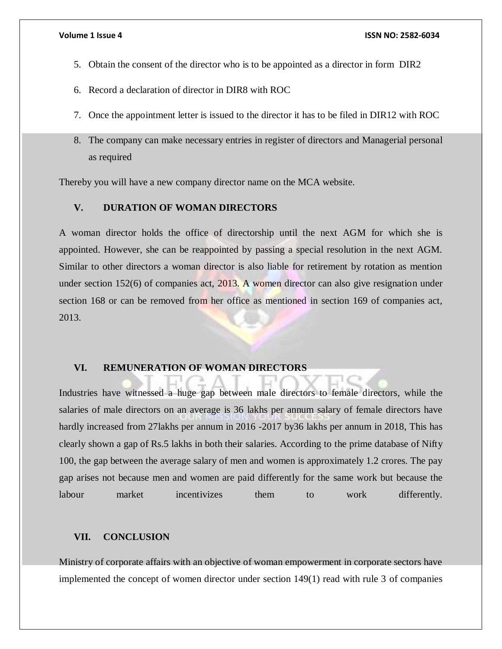- 5. Obtain the consent of the director who is to be appointed as a director in form DIR2
- 6. Record a declaration of director in DIR8 with ROC
- 7. Once the appointment letter is issued to the director it has to be filed in DIR12 with ROC
- 8. The company can make necessary entries in register of directors and Managerial personal as required

Thereby you will have a new company director name on the MCA website.

# **V. DURATION OF WOMAN DIRECTORS**

A woman director holds the office of directorship until the next AGM for which she is appointed. However, she can be reappointed by passing a special resolution in the next AGM. Similar to other directors a woman director is also liable for retirement by rotation as mention under section 152(6) of companies act, 2013. A women director can also give resignation under section 168 or can be removed from her office as mentioned in section 169 of companies act, 2013.

#### **VI. REMUNERATION OF WOMAN DIRECTORS**

Industries have witnessed a huge gap between male directors to female directors, while the salaries of male directors on an average is 36 lakhs per annum salary of female directors have hardly increased from 27lakhs per annum in 2016 -2017 by36 lakhs per annum in 2018, This has clearly shown a gap of Rs.5 lakhs in both their salaries. According to the prime database of Nifty 100, the gap between the average salary of men and women is approximately 1.2 crores. The pay gap arises not because men and women are paid differently for the same work but because the labour market incentivizes them to work differently.

### **VII. CONCLUSION**

Ministry of corporate affairs with an objective of woman empowerment in corporate sectors have implemented the concept of women director under section 149(1) read with rule 3 of companies